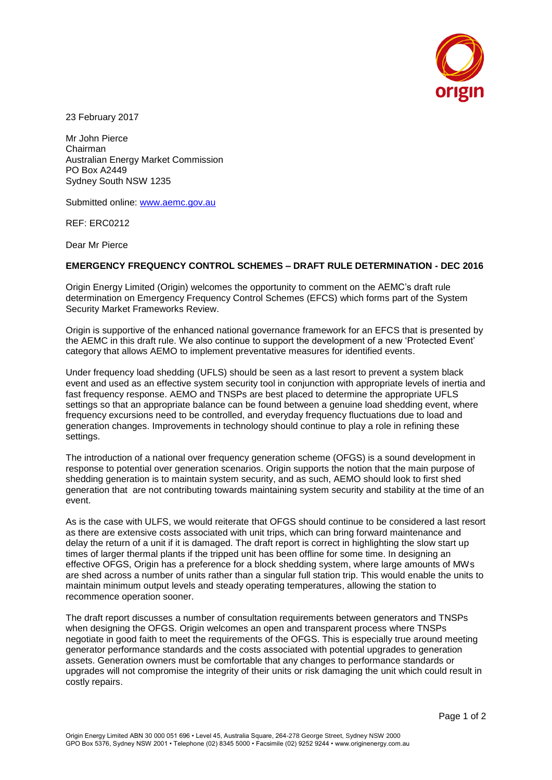

23 February 2017

Mr John Pierce Chairman Australian Energy Market Commission PO Box A2449 Sydney South NSW 1235

Submitted online: [www.aemc.gov.au](http://www.aemc.gov.au/)

REF: ERC0212

Dear Mr Pierce

## **EMERGENCY FREQUENCY CONTROL SCHEMES – DRAFT RULE DETERMINATION - DEC 2016**

Origin Energy Limited (Origin) welcomes the opportunity to comment on the AEMC's draft rule determination on Emergency Frequency Control Schemes (EFCS) which forms part of the System Security Market Frameworks Review.

Origin is supportive of the enhanced national governance framework for an EFCS that is presented by the AEMC in this draft rule. We also continue to support the development of a new 'Protected Event' category that allows AEMO to implement preventative measures for identified events.

Under frequency load shedding (UFLS) should be seen as a last resort to prevent a system black event and used as an effective system security tool in conjunction with appropriate levels of inertia and fast frequency response. AEMO and TNSPs are best placed to determine the appropriate UFLS settings so that an appropriate balance can be found between a genuine load shedding event, where frequency excursions need to be controlled, and everyday frequency fluctuations due to load and generation changes. Improvements in technology should continue to play a role in refining these settings.

The introduction of a national over frequency generation scheme (OFGS) is a sound development in response to potential over generation scenarios. Origin supports the notion that the main purpose of shedding generation is to maintain system security, and as such, AEMO should look to first shed generation that are not contributing towards maintaining system security and stability at the time of an event.

As is the case with ULFS, we would reiterate that OFGS should continue to be considered a last resort as there are extensive costs associated with unit trips, which can bring forward maintenance and delay the return of a unit if it is damaged. The draft report is correct in highlighting the slow start up times of larger thermal plants if the tripped unit has been offline for some time. In designing an effective OFGS, Origin has a preference for a block shedding system, where large amounts of MWs are shed across a number of units rather than a singular full station trip. This would enable the units to maintain minimum output levels and steady operating temperatures, allowing the station to recommence operation sooner.

The draft report discusses a number of consultation requirements between generators and TNSPs when designing the OFGS. Origin welcomes an open and transparent process where TNSPs negotiate in good faith to meet the requirements of the OFGS. This is especially true around meeting generator performance standards and the costs associated with potential upgrades to generation assets. Generation owners must be comfortable that any changes to performance standards or upgrades will not compromise the integrity of their units or risk damaging the unit which could result in costly repairs.